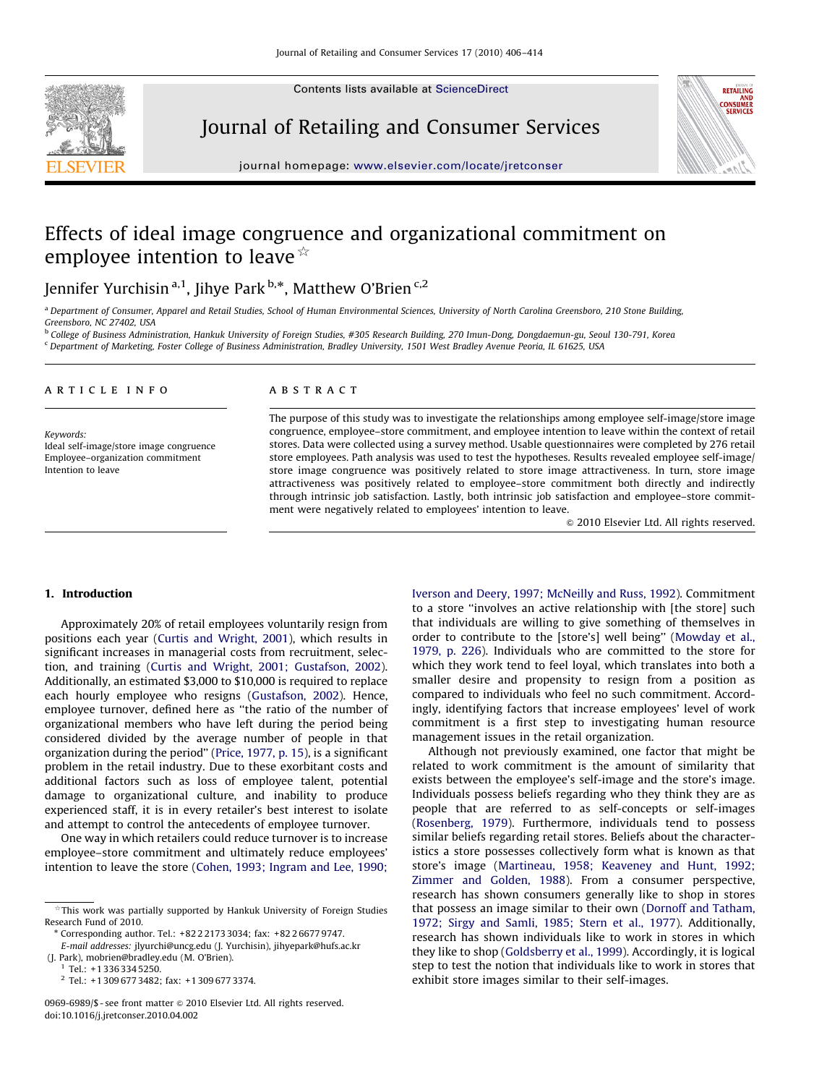Contents lists available at ScienceDirect



Journal of Retailing and Consumer Services



journal homepage: <www.elsevier.com/locate/jretconser>

# Effects of ideal image congruence and organizational commitment on employee intention to leave  $\dot{\mathbb{X}}$

Jennifer Yurchisin<sup>a,1</sup>, Jihye Park <sup>b,\*</sup>, Matthew O'Brien <sup>c,2</sup>

a Department of Consumer, Apparel and Retail Studies, School of Human Environmental Sciences, University of North Carolina Greensboro, 210 Stone Building, Greensboro, NC 27402, USA

<sup>b</sup> College of Business Administration, Hankuk University of Foreign Studies, #305 Research Building, 270 Imun-Dong, Dongdaemun-gu, Seoul 130-791, Korea <sup>c</sup> Department of Marketing, Foster College of Business Administration, Bradley University, 1501 West Bradley Avenue Peoria, IL 61625, USA

#### article info

Keywords: Ideal self-image/store image congruence Employee–organization commitment Intention to leave

#### **ABSTRACT**

The purpose of this study was to investigate the relationships among employee self-image/store image congruence, employee–store commitment, and employee intention to leave within the context of retail stores. Data were collected using a survey method. Usable questionnaires were completed by 276 retail store employees. Path analysis was used to test the hypotheses. Results revealed employee self-image/ store image congruence was positively related to store image attractiveness. In turn, store image attractiveness was positively related to employee–store commitment both directly and indirectly through intrinsic job satisfaction. Lastly, both intrinsic job satisfaction and employee–store commitment were negatively related to employees' intention to leave.

 $©$  2010 Elsevier Ltd. All rights reserved.

## 1. Introduction

Approximately 20% of retail employees voluntarily resign from positions each year [\(Curtis and Wright, 2001](#page--1-0)), which results in significant increases in managerial costs from recruitment, selection, and training [\(Curtis and Wright, 2001; Gustafson, 2002\)](#page--1-0). Additionally, an estimated \$3,000 to \$10,000 is required to replace each hourly employee who resigns [\(Gustafson, 2002](#page--1-0)). Hence, employee turnover, defined here as ''the ratio of the number of organizational members who have left during the period being considered divided by the average number of people in that organization during the period'' ([Price, 1977, p. 15](#page--1-0)), is a significant problem in the retail industry. Due to these exorbitant costs and additional factors such as loss of employee talent, potential damage to organizational culture, and inability to produce experienced staff, it is in every retailer's best interest to isolate and attempt to control the antecedents of employee turnover.

One way in which retailers could reduce turnover is to increase employee–store commitment and ultimately reduce employees' intention to leave the store ([Cohen, 1993; Ingram and Lee, 1990;](#page--1-0) [Iverson and Deery, 1997; McNeilly and Russ, 1992\)](#page--1-0). Commitment to a store ''involves an active relationship with [the store] such that individuals are willing to give something of themselves in order to contribute to the [store's] well being'' [\(Mowday et al.,](#page--1-0) [1979, p. 226](#page--1-0)). Individuals who are committed to the store for which they work tend to feel loyal, which translates into both a smaller desire and propensity to resign from a position as compared to individuals who feel no such commitment. Accordingly, identifying factors that increase employees' level of work commitment is a first step to investigating human resource management issues in the retail organization.

Although not previously examined, one factor that might be related to work commitment is the amount of similarity that exists between the employee's self-image and the store's image. Individuals possess beliefs regarding who they think they are as people that are referred to as self-concepts or self-images ([Rosenberg, 1979\)](#page--1-0). Furthermore, individuals tend to possess similar beliefs regarding retail stores. Beliefs about the characteristics a store possesses collectively form what is known as that store's image ([Martineau, 1958; Keaveney and Hunt, 1992;](#page--1-0) [Zimmer and Golden, 1988](#page--1-0)). From a consumer perspective, research has shown consumers generally like to shop in stores that possess an image similar to their own ([Dornoff and Tatham,](#page--1-0) [1972; Sirgy and Samli, 1985; Stern et al., 1977\)](#page--1-0). Additionally, research has shown individuals like to work in stores in which they like to shop ([Goldsberry et al., 1999\)](#page--1-0). Accordingly, it is logical step to test the notion that individuals like to work in stores that exhibit store images similar to their self-images.

 $*$ This work was partially supported by Hankuk University of Foreign Studies Research Fund of 2010.<br>\* Corresponding author. Tel.: +82 2 2173 3034; fax: +82 2 6677 9747.

E-mail addresses: [jlyurchi@uncg.edu \(J. Yurchisin\),](mailto:jlyurchi@uncg.edu) [jihyepark@hufs.ac.kr](mailto:jihyepark@hufs.ac.kr)

[<sup>\(</sup>J. Park\)](mailto:jihyepark@hufs.ac.kr), [mobrien@bradley.edu \(M. O'Brien\).](mailto:mobrien@bradley.edu)  $1$  Tel.: +1 336 334 5250.

<sup>2</sup> Tel.: +1 309 677 3482; fax: +1 309 677 3374.

<sup>0969-6989/\$ -</sup> see front matter @ 2010 Elsevier Ltd. All rights reserved. doi:[10.1016/j.jretconser.2010.04.002](dx.doi.org/10.1016/j.jretconser.2010.04.002)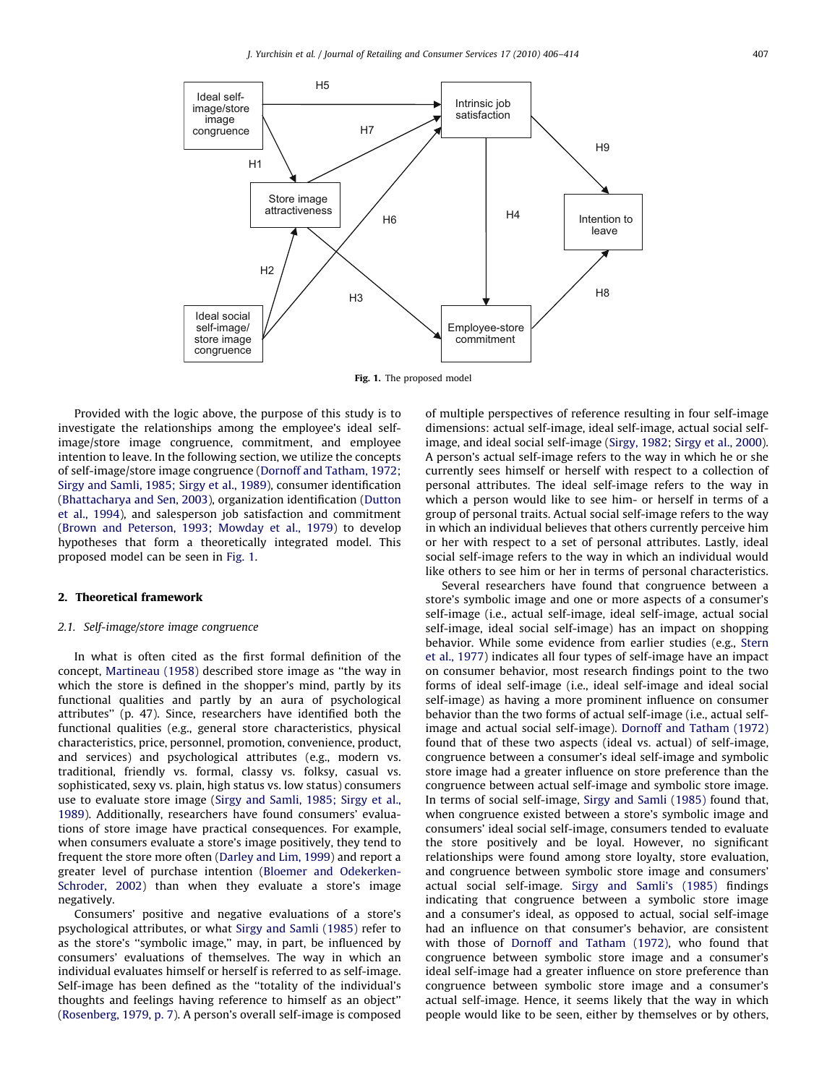

Fig. 1. The proposed model

Provided with the logic above, the purpose of this study is to investigate the relationships among the employee's ideal selfimage/store image congruence, commitment, and employee intention to leave. In the following section, we utilize the concepts of self-image/store image congruence ([Dornoff and Tatham, 1972;](#page--1-0) [Sirgy and Samli, 1985; Sirgy et al., 1989](#page--1-0)), consumer identification ([Bhattacharya and Sen, 2003](#page--1-0)), organization identification ([Dutton](#page--1-0) [et al., 1994\)](#page--1-0), and salesperson job satisfaction and commitment ([Brown and Peterson, 1993; Mowday et al., 1979\)](#page--1-0) to develop hypotheses that form a theoretically integrated model. This proposed model can be seen in Fig. 1.

## 2. Theoretical framework

#### 2.1. Self-image/store image congruence

In what is often cited as the first formal definition of the concept, [Martineau \(1958\)](#page--1-0) described store image as ''the way in which the store is defined in the shopper's mind, partly by its functional qualities and partly by an aura of psychological attributes'' (p. 47). Since, researchers have identified both the functional qualities (e.g., general store characteristics, physical characteristics, price, personnel, promotion, convenience, product, and services) and psychological attributes (e.g., modern vs. traditional, friendly vs. formal, classy vs. folksy, casual vs. sophisticated, sexy vs. plain, high status vs. low status) consumers use to evaluate store image ([Sirgy and Samli, 1985; Sirgy et al.,](#page--1-0) [1989\)](#page--1-0). Additionally, researchers have found consumers' evaluations of store image have practical consequences. For example, when consumers evaluate a store's image positively, they tend to frequent the store more often ([Darley and Lim, 1999\)](#page--1-0) and report a greater level of purchase intention ([Bloemer and Odekerken-](#page--1-0)[Schroder, 2002](#page--1-0)) than when they evaluate a store's image negatively.

Consumers' positive and negative evaluations of a store's psychological attributes, or what [Sirgy and Samli \(1985\)](#page--1-0) refer to as the store's ''symbolic image,'' may, in part, be influenced by consumers' evaluations of themselves. The way in which an individual evaluates himself or herself is referred to as self-image. Self-image has been defined as the ''totality of the individual's thoughts and feelings having reference to himself as an object'' ([Rosenberg, 1979, p. 7\)](#page--1-0). A person's overall self-image is composed of multiple perspectives of reference resulting in four self-image dimensions: actual self-image, ideal self-image, actual social selfimage, and ideal social self-image ([Sirgy, 1982;](#page--1-0) [Sirgy et al., 2000\)](#page--1-0). A person's actual self-image refers to the way in which he or she currently sees himself or herself with respect to a collection of personal attributes. The ideal self-image refers to the way in which a person would like to see him- or herself in terms of a group of personal traits. Actual social self-image refers to the way in which an individual believes that others currently perceive him or her with respect to a set of personal attributes. Lastly, ideal social self-image refers to the way in which an individual would like others to see him or her in terms of personal characteristics.

Several researchers have found that congruence between a store's symbolic image and one or more aspects of a consumer's self-image (i.e., actual self-image, ideal self-image, actual social self-image, ideal social self-image) has an impact on shopping behavior. While some evidence from earlier studies (e.g., [Stern](#page--1-0) [et al., 1977](#page--1-0)) indicates all four types of self-image have an impact on consumer behavior, most research findings point to the two forms of ideal self-image (i.e., ideal self-image and ideal social self-image) as having a more prominent influence on consumer behavior than the two forms of actual self-image (i.e., actual selfimage and actual social self-image). [Dornoff and Tatham \(1972\)](#page--1-0) found that of these two aspects (ideal vs. actual) of self-image, congruence between a consumer's ideal self-image and symbolic store image had a greater influence on store preference than the congruence between actual self-image and symbolic store image. In terms of social self-image, [Sirgy and Samli \(1985\)](#page--1-0) found that, when congruence existed between a store's symbolic image and consumers' ideal social self-image, consumers tended to evaluate the store positively and be loyal. However, no significant relationships were found among store loyalty, store evaluation, and congruence between symbolic store image and consumers' actual social self-image. Sirgy [and Samli's \(1985\)](#page--1-0) findings indicating that congruence between a symbolic store image and a consumer's ideal, as opposed to actual, social self-image had an influence on that consumer's behavior, are consistent with those of [Dornoff and Tatham \(1972\)](#page--1-0), who found that congruence between symbolic store image and a consumer's ideal self-image had a greater influence on store preference than congruence between symbolic store image and a consumer's actual self-image. Hence, it seems likely that the way in which people would like to be seen, either by themselves or by others,